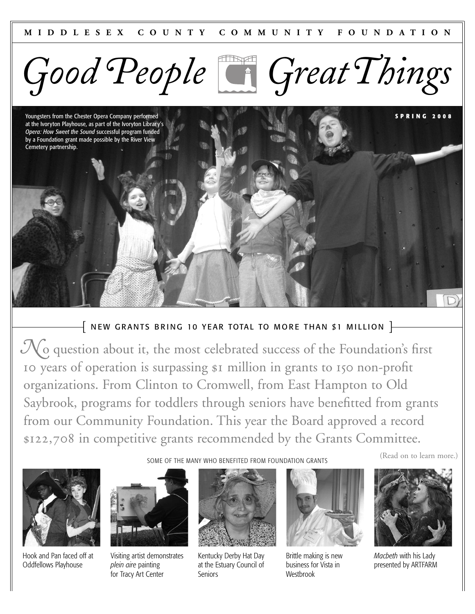

Youngsters from the Chester Opera Company performed at the Ivoryton Playhouse, as part of the Ivoryton Librar y's *Opera: How Sweet the Sound* successful program funded by a Foundation grant made possible by the River View Cemetery partnership.

# $\left\{$  NEW GRANTS BRING 10 YEAR TOTAL TO MORE THAN \$1 MILLION  $\left.\right\}$

 $\mathcal{N}_0$  question about it, the most celebrated success of the Foundation's first Io years of operation is surpassing  $\beta$ I million in grants to 150 non-profit organizations. From Clinton to Cromwell, from East Hampton to Old Saybrook, programs for toddlers through seniors have benefitted from grants from our Community Foundation. This year the Board approved a record **,** in competitive grants recommended by the Grants Committee.



Hook and Pan faced off at Oddfellows Playhouse



Visiting artist demonstrates *plein aire* painting for Tracy Art Center



SOME OF THE MANY WHO BENEFITED FROM FOUNDATION GRANTS

Kentucky Derby Hat Day at the Estuary Council of Seniors



Brittle making is new business for Vista in **Westbrook** 

(Read on to learn more.)

**S P R I N G 2 0 0 8**



*Macbeth* with his Lady presented by ARTFARM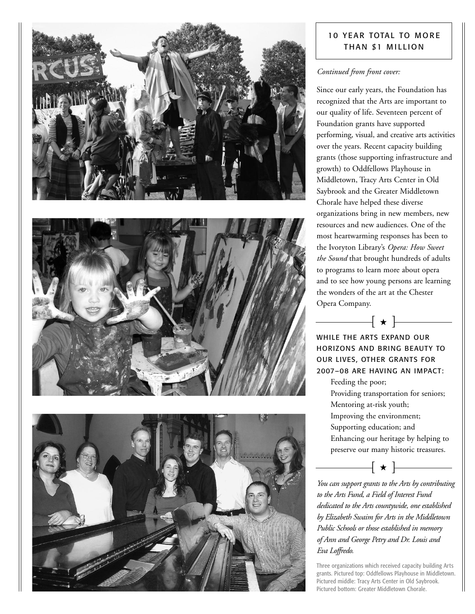





# **10 YEAR TOTAL TO MORE** THAN \$1 MILLION

## *Continued from front cover:*

Since our early years, the Foundation has recognized that the Arts are important to our quality of life. Seventeen percent of Foundation grants have supported performing, visual, and creative arts activities over the years. Recent capacity building grants (those supporting infrastructure and growth) to Oddfellows Playhouse in Middletown, Tracy Arts Center in Old Saybrook and the Greater Middletown Chorale have helped these diverse organizations bring in new members, new resources and new audiences. One of the most heartwarming responses has been to the Ivoryton Library's *Opera: How Sweet the Sound* that brought hundreds of adults to programs to learn more about opera and to see how young persons are learning the wonders of the art at the Chester Opera Company.

WHILE THE ARTS EXPAND OUR HORIZONS AND BRING BEAUTY TO OUR LIVES, OTHER GRANTS FOR 2007–08 ARE HAVING AN IMPACT:

 $\rightarrow$   $-$ 

Feeding the poor;

Providing transportation for seniors; Mentoring at-risk youth; Improving the environment;

Supporting education; and

Enhancing our heritage by helping to preserve our many historic treasures.

 $\hspace{.1cm}\rule{.1cm}{.1cm} \hspace{.1cm} \hspace{.1cm} \hspace{.1cm} \hspace{.1cm} \star \hspace{.1cm} \rule{.1cm}{.1cm} \hspace{.1cm} \hspace{-.1cm} \longleftarrow$ 

*You can support grants to the Arts by contributing to the Arts Fund, a Field of Interest Fund dedicated to the Arts countywide, one established by Elizabeth Swaim for Arts in the Middletown Public Schools or those established in memory of Ann and George Petry and Dr. Louis and Eva Loffredo.*

Three organizations which received capacity building Arts grants. Pictured top: Oddfellows Playhouse in Middletown. Pictured middle: Tracy Arts Center in Old Saybrook. Pictured bottom: Greater Middletown Chorale.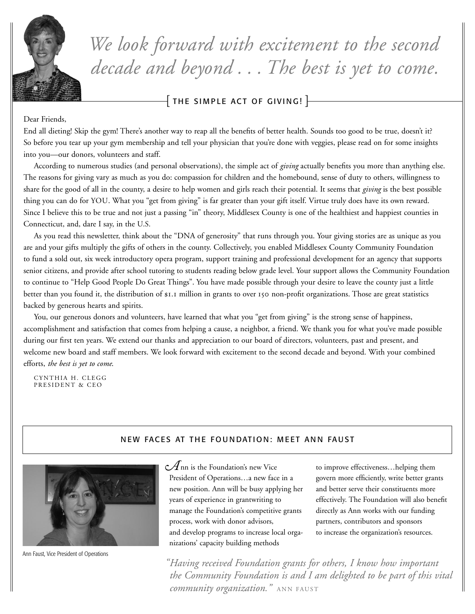

*We look forward with excitement to the second decade and beyond . . . The best is yet to come.*

 $\bar{+}$  THE SIMPLE ACT OF GIVING!  $\bar{+}$ 

Dear Friends,

End all dieting! Skip the gym! There's another way to reap all the benefits of better health. Sounds too good to be true, doesn't it? So before you tear up your gym membership and tell your physician that you're done with veggies, please read on for some insights into you—our donors, volunteers and staff.

According to numerous studies (and personal observations), the simple act of *giving* actually benefits you more than anything else. The reasons for giving vary as much as you do: compassion for children and the homebound, sense of duty to others, willingness to share for the good of all in the county, a desire to help women and girls reach their potential. It seems that *giving* is the best possible thing you can do for YOU. What you "get from giving" is far greater than your gift itself. Virtue truly does have its own reward. Since I believe this to be true and not just a passing "in" theory, Middlesex County is one of the healthiest and happiest counties in Connecticut, and, dare I say, in the U.S.

As you read this newsletter, think about the "DNA of generosity" that runs through you. Your giving stories are as unique as you are and your gifts multiply the gifts of others in the county. Collectively, you enabled Middlesex County Community Foundation to fund a sold out, six week introductory opera program, support training and professional development for an agency that supports senior citizens, and provide after school tutoring to students reading below grade level. Your support allows the Community Foundation to continue to "Help Good People Do Great Things". You have made possible through your desire to leave the county just a little better than you found it, the distribution of \$1.1 million in grants to over 150 non-profit organizations. Those are great statistics backed by generous hearts and spirits.

You, our generous donors and volunteers, have learned that what you "get from giving" is the strong sense of happiness, accomplishment and satisfaction that comes from helping a cause, a neighbor, a friend. We thank you for what you've made possible during our first ten years. We extend our thanks and appreciation to our board of directors, volunteers, past and present, and welcome new board and staff members. We look forward with excitement to the second decade and beyond. With your combined efforts, *the best is yet to come*.

CYNTHIA H. CLEGG PRESIDENT & CEO

# NEW FACES AT THE FOUNDATION: MEET ANN FAUST



Ann Faust, Vice President of Operations

 $\mathcal A$ nn is the Foundation's new Vice President of Operations…a new face in a new position. Ann will be busy applying her years of experience in grantwriting to manage the Foundation's competitive grants process, work with donor advisors, and develop programs to increase local organizations' capacity building methods

to improve effectiveness…helping them govern more efficiently, write better grants and better serve their constituents more effectively. The Foundation will also benefit directly as Ann works with our funding partners, contributors and sponsors to increase the organization's resources.

*Having received Foundation grants for others, I know how important " the Community Foundation is and I am delighted to be part of this vital community organization.*" ANN FAUST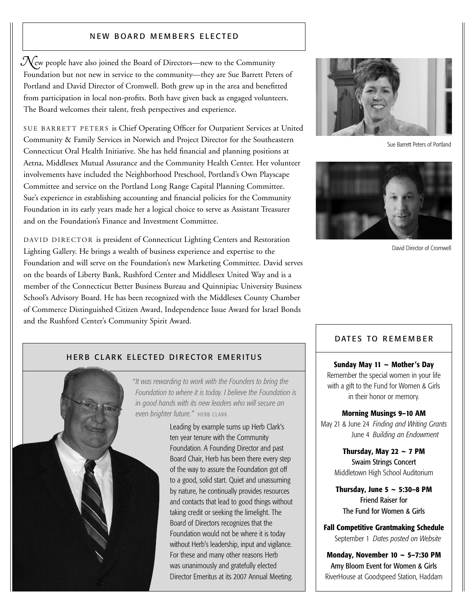### NEW BOARD MEMBERS ELECTED

 $\mathcal{N}_{\mathrm{ew}}$  people have also joined the Board of Directors—new to the Community Foundation but not new in service to the community—they are Sue Barrett Peters of Portland and David Director of Cromwell. Both grew up in the area and benefitted from participation in local non-profits. Both have given back as engaged volunteers. The Board welcomes their talent, fresh perspectives and experience.

SUE BARRETT PETERS is Chief Operating Officer for Outpatient Services at United Community & Family Services in Norwich and Project Director for the Southeastern Connecticut Oral Health Initiative. She has held financial and planning positions at Aetna, Middlesex Mutual Assurance and the Community Health Center. Her volunteer involvements have included the Neighborhood Preschool, Portland's Own Playscape Committee and service on the Portland Long Range Capital Planning Committee. Sue's experience in establishing accounting and financial policies for the Community Foundation in its early years made her a logical choice to serve as Assistant Treasurer and on the Foundation's Finance and Investment Committee.

DAVID DIRECTOR is president of Connecticut Lighting Centers and Restoration Lighting Gallery. He brings a wealth of business experience and expertise to the Foundation and will serve on the Foundation's new Marketing Committee. David serves on the boards of Liberty Bank, Rushford Center and Middlesex United Way and is a member of the Connecticut Better Business Bureau and Quinnipiac University Business School's Advisory Board. He has been recognized with the Middlesex County Chamber of Commerce Distinguished Citizen Award, Independence Issue Award for Israel Bonds and the Rushford Center's Community Spirit Award.



Sue Barrett Peters of Portland



David Director of Cromwell

## HERB CLARK ELECTED DIRECTOR EMERITUS



*It was rewarding to work with the Founders to bring the "Foundation to where it is today. I believe the Foundation is in good hands with its new leaders who will secure an even brighter future."* HERB CLARK

> Leading by example sums up Herb Clark's ten year tenure with the Community Foundation. A Founding Director and past Board Chair, Herb has been there every step of the way to assure the Foundation got off to a good, solid start. Quiet and unassuming by nature, he continually provides resources and contacts that lead to good things without taking credit or seeking the limelight. The Board of Directors recognizes that the Foundation would not be where it is today without Herb's leadership, input and vigilance. For these and many other reasons Herb was unanimously and gratefully elected Director Emeritus at its 2007 Annual Meeting.

### DATES TO REMEMBER

**Sunday May 11 ~ Mother's Day** Remember the special women in your life with a gift to the Fund for Women & Girls in their honor or memory.

### **Morning Musings 9–10 AM**

May 21 & June 24 *Finding and Writing Grants* June 4 *Building an Endowment*

> **Thursday, May 22 ~ 7 PM** Swaim Strings Concert Middletown High School Auditorium

**Thursday, June 5 ~ 5:30–8 PM** Friend Raiser for The Fund for Women & Girls

**Fall Competitive Grantmaking Schedule** September 1 *Dates posted on Website*

**Monday, November 10 ~ 5–7:30 PM** Amy Bloom Event for Women & Girls RiverHouse at Goodspeed Station, Haddam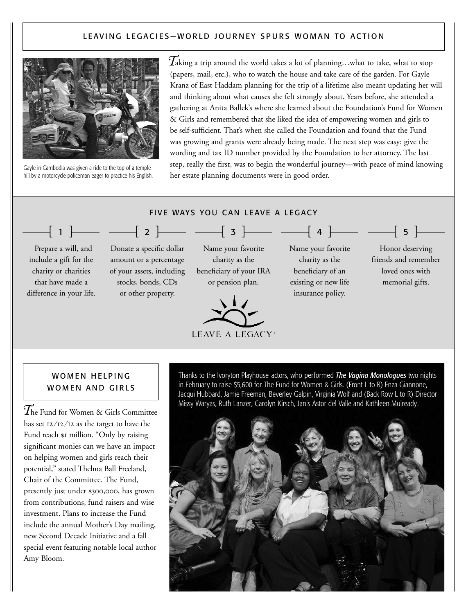## LEAVING LEGACIES-WORLD JOURNEY SPURS WOMAN TO ACTION



Gayle in Cambodia was given a ride to the top of a temple hill by a motorcycle policeman eager to practice his English. *T*aking <sup>a</sup> trip around the world takes <sup>a</sup> lot of planning…what to take, what to stop (papers, mail, etc.), who to watch the house and take care of the garden. For Gayle Kranz of East Haddam planning for the trip of a lifetime also meant updating her will and thinking about what causes she felt strongly about. Years before, she attended a gathering at Anita Ballek's where she learned about the Foundation's Fund for Women & Girls and remembered that she liked the idea of empowering women and girls to be self-sufficient. That's when she called the Foundation and found that the Fund was growing and grants were already being made. The next step was easy: give the wording and tax ID number provided by the Foundation to her attorney. The last step, really the first, was to begin the wonderful journey—with peace of mind knowing her estate planning documents were in good order.



## WOMEN HELPING WOMEN AND GIRLS

*T*he Fund for Women & Girls Committee has set  $\frac{12}{12}$  as the target to have the Fund reach \$1 million. "Only by raising significant monies can we have an impact on helping women and girls reach their potential," stated Thelma Ball Freeland, Chair of the Committee. The Fund, presently just under \$300,000, has grown from contributions, fund raisers and wise investment. Plans to increase the Fund include the annual Mother's Day mailing, new Second Decade Initiative and a fall special event featuring notable local author Amy Bloom.

Thanks to the Ivoryton Playhouse actors, who performed *The Vagina Monologues* two nights in February to raise \$5,600 for The Fund for Women & Girls. (Front L to R) Enza Giannone, Jacqui Hubbard, Jamie Freeman, Beverley Galpin, Virginia Wolf and (Back Row L to R) Director Missy Waryas, Ruth Lanzer, Carolyn Kirsch, Janis Astor del Valle and Kathleen Mulready.